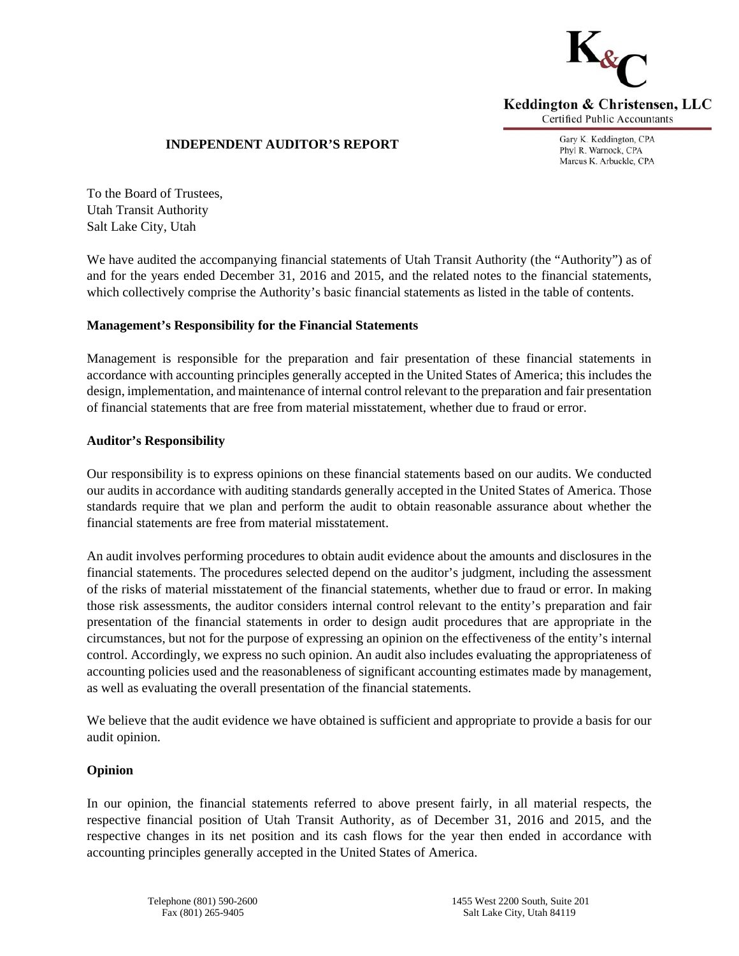

# **INDEPENDENT AUDITOR'S REPORT**

Gary K. Keddington, CPA Phyl R. Warnock, CPA Marcus K. Arbuckle, CPA

To the Board of Trustees, Utah Transit Authority Salt Lake City, Utah

We have audited the accompanying financial statements of Utah Transit Authority (the "Authority") as of and for the years ended December 31, 2016 and 2015, and the related notes to the financial statements, which collectively comprise the Authority's basic financial statements as listed in the table of contents.

# **Management's Responsibility for the Financial Statements**

Management is responsible for the preparation and fair presentation of these financial statements in accordance with accounting principles generally accepted in the United States of America; this includes the design, implementation, and maintenance of internal control relevant to the preparation and fair presentation of financial statements that are free from material misstatement, whether due to fraud or error.

# **Auditor's Responsibility**

Our responsibility is to express opinions on these financial statements based on our audits. We conducted our audits in accordance with auditing standards generally accepted in the United States of America. Those standards require that we plan and perform the audit to obtain reasonable assurance about whether the financial statements are free from material misstatement.

An audit involves performing procedures to obtain audit evidence about the amounts and disclosures in the financial statements. The procedures selected depend on the auditor's judgment, including the assessment of the risks of material misstatement of the financial statements, whether due to fraud or error. In making those risk assessments, the auditor considers internal control relevant to the entity's preparation and fair presentation of the financial statements in order to design audit procedures that are appropriate in the circumstances, but not for the purpose of expressing an opinion on the effectiveness of the entity's internal control. Accordingly, we express no such opinion. An audit also includes evaluating the appropriateness of accounting policies used and the reasonableness of significant accounting estimates made by management, as well as evaluating the overall presentation of the financial statements.

We believe that the audit evidence we have obtained is sufficient and appropriate to provide a basis for our audit opinion.

# **Opinion**

In our opinion, the financial statements referred to above present fairly, in all material respects, the respective financial position of Utah Transit Authority, as of December 31, 2016 and 2015, and the respective changes in its net position and its cash flows for the year then ended in accordance with accounting principles generally accepted in the United States of America.